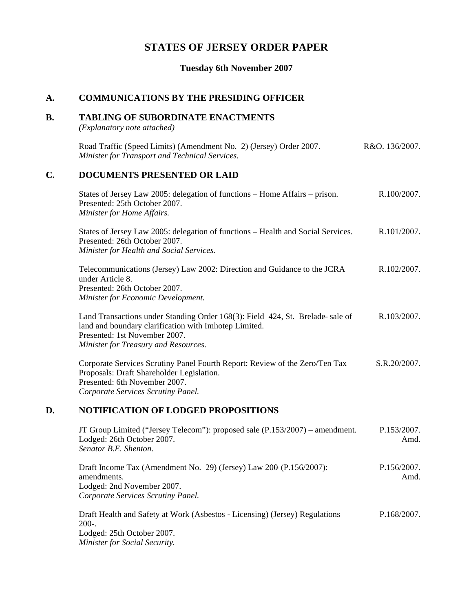# **STATES OF JERSEY ORDER PAPER**

# **Tuesday 6th November 2007**

#### **A. COMMUNICATIONS BY THE PRESIDING OFFICER**

#### **B. TABLING OF SUBORDINATE ENACTMENTS**

*(Explanatory note attached)*

| Road Traffic (Speed Limits) (Amendment No. 2) (Jersey) Order 2007. | R&O. 136/2007. |
|--------------------------------------------------------------------|----------------|
| Minister for Transport and Technical Services.                     |                |

#### **C. DOCUMENTS PRESENTED OR LAID**

| States of Jersey Law 2005: delegation of functions – Home Affairs – prison.<br>Presented: 25th October 2007.<br>Minister for Home Affairs.                                                                      | R.100/2007.  |
|-----------------------------------------------------------------------------------------------------------------------------------------------------------------------------------------------------------------|--------------|
| States of Jersey Law 2005: delegation of functions – Health and Social Services.<br>Presented: 26th October 2007.<br>Minister for Health and Social Services.                                                   | R.101/2007.  |
| Telecommunications (Jersey) Law 2002: Direction and Guidance to the JCRA<br>under Article 8.<br>Presented: 26th October 2007.<br>Minister for Economic Development.                                             | R.102/2007.  |
| Land Transactions under Standing Order 168(3): Field 424, St. Brelade-sale of<br>land and boundary clarification with Imhotep Limited.<br>Presented: 1st November 2007.<br>Minister for Treasury and Resources. | R.103/2007.  |
| Corporate Services Scrutiny Panel Fourth Report: Review of the Zero/Ten Tax<br>n 1 n coi 1 11 T 11.                                                                                                             | S.R.20/2007. |

Proposals: Draft Shareholder Legislation. Presented: 6th November 2007. *Corporate Services Scrutiny Panel.*

## **D. NOTIFICATION OF LODGED PROPOSITIONS**

| JT Group Limited ("Jersey Telecom"): proposed sale (P.153/2007) – amendment.<br>Lodged: 26th October 2007.                                              | P.153/2007.<br>Amd. |  |
|---------------------------------------------------------------------------------------------------------------------------------------------------------|---------------------|--|
| Senator B.E. Shenton.                                                                                                                                   |                     |  |
| Draft Income Tax (Amendment No. 29) (Jersey) Law $200$ (P.156/2007):<br>amendments.<br>Lodged: 2nd November 2007.<br>Corporate Services Scrutiny Panel. | P.156/2007.<br>Amd. |  |
| Draft Health and Safety at Work (Asbestos - Licensing) (Jersey) Regulations<br>$200-.$<br>Lodged: 25th October 2007.<br>Minister for Social Security.   | P.168/2007.         |  |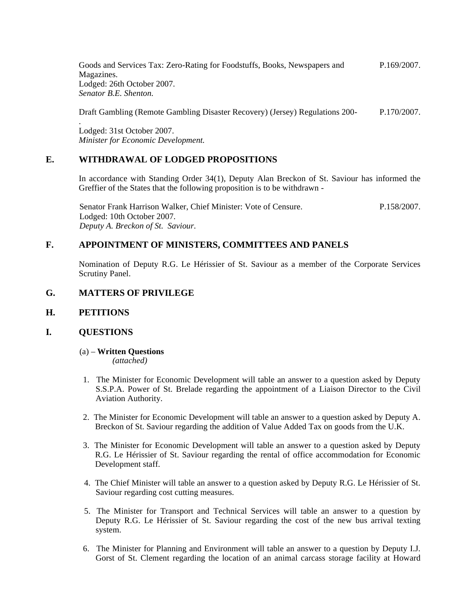Goods and Services Tax: Zero-Rating for Foodstuffs, Books, Newspapers and Magazines. Lodged: 26th October 2007. *Senator B.E. Shenton.* P.169/2007.

Draft Gambling (Remote Gambling Disaster Recovery) (Jersey) Regulations 200- P.170/2007.

Lodged: 31st October 2007. *Minister for Economic Development.*

### **E. WITHDRAWAL OF LODGED PROPOSITIONS**

In accordance with Standing Order 34(1), Deputy Alan Breckon of St. Saviour has informed the Greffier of the States that the following proposition is to be withdrawn -

Senator Frank Harrison Walker, Chief Minister: Vote of Censure. Lodged: 10th October 2007. *Deputy A. Breckon of St. Saviour.* P.158/2007.

## **F. APPOINTMENT OF MINISTERS, COMMITTEES AND PANELS**

Nomination of Deputy R.G. Le Hérissier of St. Saviour as a member of the Corporate Services Scrutiny Panel.

### **G. MATTERS OF PRIVILEGE**

#### **H. PETITIONS**

.

#### **I. QUESTIONS**

(a) – **Written Questions**

*(attached)*

- 1. The Minister for Economic Development will table an answer to a question asked by Deputy S.S.P.A. Power of St. Brelade regarding the appointment of a Liaison Director to the Civil Aviation Authority.
- 2. The Minister for Economic Development will table an answer to a question asked by Deputy A. Breckon of St. Saviour regarding the addition of Value Added Tax on goods from the U.K.
- 3. The Minister for Economic Development will table an answer to a question asked by Deputy R.G. Le Hérissier of St. Saviour regarding the rental of office accommodation for Economic Development staff.
- 4. The Chief Minister will table an answer to a question asked by Deputy R.G. Le Hérissier of St. Saviour regarding cost cutting measures.
- 5. The Minister for Transport and Technical Services will table an answer to a question by Deputy R.G. Le Hérissier of St. Saviour regarding the cost of the new bus arrival texting system.
- 6. The Minister for Planning and Environment will table an answer to a question by Deputy I.J. Gorst of St. Clement regarding the location of an animal carcass storage facility at Howard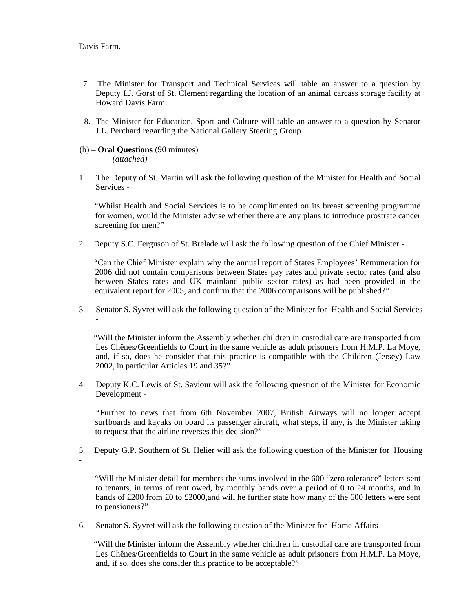-

- 7. The Minister for Transport and Technical Services will table an answer to a question by Deputy I.J. Gorst of St. Clement regarding the location of an animal carcass storage facility at Howard Davis Farm.
- 8. The Minister for Education, Sport and Culture will table an answer to a question by Senator J.L. Perchard regarding the National Gallery Steering Group.
- (b) **Oral Questions** (90 minutes) *(attached)*
- 1. The Deputy of St. Martin will ask the following question of the Minister for Health and Social Services -

 "Whilst Health and Social Services is to be complimented on its breast screening programme for women, would the Minister advise whether there are any plans to introduce prostrate cancer screening for men?"

2. Deputy S.C. Ferguson of St. Brelade will ask the following question of the Chief Minister -

 "Can the Chief Minister explain why the annual report of States Employees' Remuneration for 2006 did not contain comparisons between States pay rates and private sector rates (and also between States rates and UK mainland public sector rates) as had been provided in the equivalent report for 2005, and confirm that the 2006 comparisons will be published?"

3. Senator S. Syvret will ask the following question of the Minister for Health and Social Services -

 "Will the Minister inform the Assembly whether children in custodial care are transported from Les Chênes/Greenfields to Court in the same vehicle as adult prisoners from H.M.P. La Moye, and, if so, does he consider that this practice is compatible with the Children (Jersey) Law 2002, in particular Articles 19 and 35?"

4. Deputy K.C. Lewis of St. Saviour will ask the following question of the Minister for Economic Development -

 "Further to news that from 6th November 2007, British Airways will no longer accept surfboards and kayaks on board its passenger aircraft, what steps, if any, is the Minister taking to request that the airline reverses this decision?"

5. Deputy G.P. Southern of St. Helier will ask the following question of the Minister for Housing

 "Will the Minister detail for members the sums involved in the 600 "zero tolerance" letters sent to tenants, in terms of rent owed, by monthly bands over a period of 0 to 24 months, and in bands of £200 from £0 to £2000,and will he further state how many of the 600 letters were sent to pensioners?"

6. Senator S. Syvret will ask the following question of the Minister for Home Affairs-

 "Will the Minister inform the Assembly whether children in custodial care are transported from Les Chênes/Greenfields to Court in the same vehicle as adult prisoners from H.M.P. La Moye, and, if so, does she consider this practice to be acceptable?"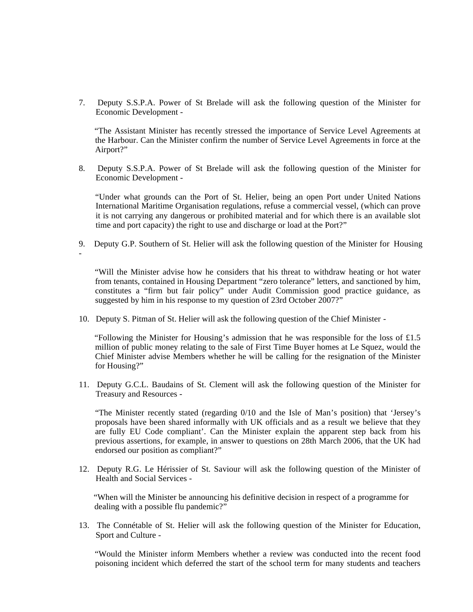7. Deputy S.S.P.A. Power of St Brelade will ask the following question of the Minister for Economic Development -

 "The Assistant Minister has recently stressed the importance of Service Level Agreements at the Harbour. Can the Minister confirm the number of Service Level Agreements in force at the Airport?"

8. Deputy S.S.P.A. Power of St Brelade will ask the following question of the Minister for Economic Development -

 "Under what grounds can the Port of St. Helier, being an open Port under United Nations International Maritime Organisation regulations, refuse a commercial vessel, (which can prove it is not carrying any dangerous or prohibited material and for which there is an available slot time and port capacity) the right to use and discharge or load at the Port?"

9. Deputy G.P. Southern of St. Helier will ask the following question of the Minister for Housing

 "Will the Minister advise how he considers that his threat to withdraw heating or hot water from tenants, contained in Housing Department "zero tolerance" letters, and sanctioned by him, constitutes a "firm but fair policy" under Audit Commission good practice guidance, as suggested by him in his response to my question of 23rd October 2007?"

10. Deputy S. Pitman of St. Helier will ask the following question of the Chief Minister -

-

"Following the Minister for Housing's admission that he was responsible for the loss of £1.5 million of public money relating to the sale of First Time Buyer homes at Le Squez, would the Chief Minister advise Members whether he will be calling for the resignation of the Minister for Housing?"

11. Deputy G.C.L. Baudains of St. Clement will ask the following question of the Minister for Treasury and Resources -

 "The Minister recently stated (regarding 0/10 and the Isle of Man's position) that 'Jersey's proposals have been shared informally with UK officials and as a result we believe that they are fully EU Code compliant'. Can the Minister explain the apparent step back from his previous assertions, for example, in answer to questions on 28th March 2006, that the UK had endorsed our position as compliant?"

12. Deputy R.G. Le Hérissier of St. Saviour will ask the following question of the Minister of Health and Social Services -

 "When will the Minister be announcing his definitive decision in respect of a programme for dealing with a possible flu pandemic?"

13. The Connétable of St. Helier will ask the following question of the Minister for Education, Sport and Culture -

 "Would the Minister inform Members whether a review was conducted into the recent food poisoning incident which deferred the start of the school term for many students and teachers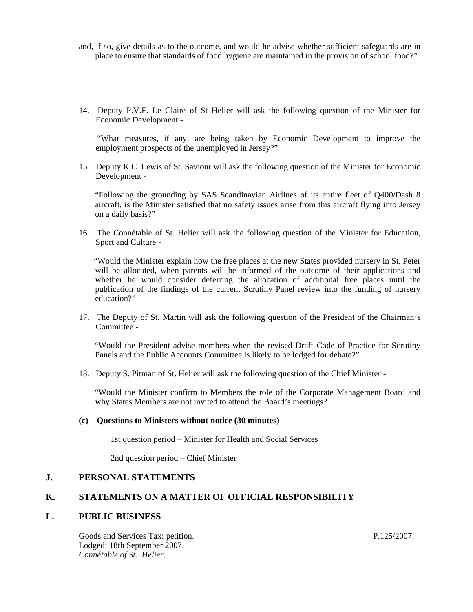- and, if so, give details as to the outcome, and would he advise whether sufficient safeguards are in place to ensure that standards of food hygiene are maintained in the provision of school food?"
- 14. Deputy P.V.F. Le Claire of St Helier will ask the following question of the Minister for Economic Development -

 "What measures, if any, are being taken by Economic Development to improve the employment prospects of the unemployed in Jersey?"

15. Deputy K.C. Lewis of St. Saviour will ask the following question of the Minister for Economic Development -

 "Following the grounding by SAS Scandinavian Airlines of its entire fleet of Q400/Dash 8 aircraft, is the Minister satisfied that no safety issues arise from this aircraft flying into Jersey on a daily basis?"

16. The Connétable of St. Helier will ask the following question of the Minister for Education, Sport and Culture -

 "Would the Minister explain how the free places at the new States provided nursery in St. Peter will be allocated, when parents will be informed of the outcome of their applications and whether he would consider deferring the allocation of additional free places until the publication of the findings of the current Scrutiny Panel review into the funding of nursery education?"

17. The Deputy of St. Martin will ask the following question of the President of the Chairman's Committee -

 "Would the President advise members when the revised Draft Code of Practice for Scrutiny Panels and the Public Accounts Committee is likely to be lodged for debate?"

18. Deputy S. Pitman of St. Helier will ask the following question of the Chief Minister -

 "Would the Minister confirm to Members the role of the Corporate Management Board and why States Members are not invited to attend the Board's meetings?

#### **(c) – Questions to Ministers without notice (30 minutes) -**

1st question period – Minister for Health and Social Services

2nd question period – Chief Minister

## **J. PERSONAL STATEMENTS**

#### **K. STATEMENTS ON A MATTER OF OFFICIAL RESPONSIBILITY**

#### **L. PUBLIC BUSINESS**

Goods and Services Tax: petition. Lodged: 18th September 2007. *Connétable of St. Helier.*

P.125/2007.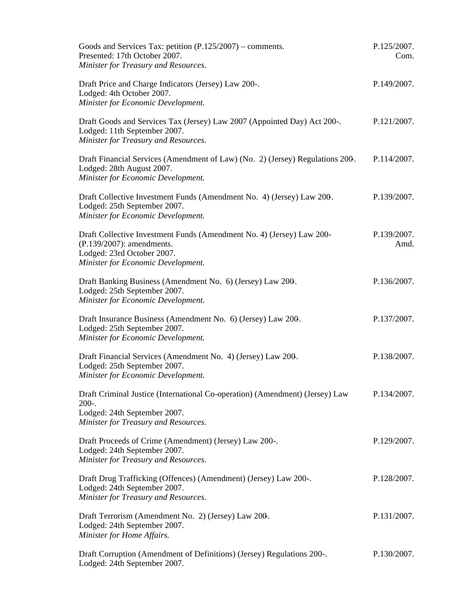| Goods and Services Tax: petition $(P.125/2007)$ – comments.<br>Presented: 17th October 2007.<br>Minister for Treasury and Resources.                                   | P.125/2007.<br>Com. |
|------------------------------------------------------------------------------------------------------------------------------------------------------------------------|---------------------|
| Draft Price and Charge Indicators (Jersey) Law 200-.<br>Lodged: 4th October 2007.<br>Minister for Economic Development.                                                | P.149/2007.         |
| Draft Goods and Services Tax (Jersey) Law 2007 (Appointed Day) Act 200-.<br>Lodged: 11th September 2007.<br>Minister for Treasury and Resources.                       | P.121/2007.         |
| Draft Financial Services (Amendment of Law) (No. 2) (Jersey) Regulations 200.<br>Lodged: 28th August 2007.<br>Minister for Economic Development.                       | P.114/2007.         |
| Draft Collective Investment Funds (Amendment No. 4) (Jersey) Law 200.<br>Lodged: 25th September 2007.<br>Minister for Economic Development.                            | P.139/2007.         |
| Draft Collective Investment Funds (Amendment No. 4) (Jersey) Law 200-<br>(P.139/2007): amendments.<br>Lodged: 23rd October 2007.<br>Minister for Economic Development. | P.139/2007.<br>Amd. |
| Draft Banking Business (Amendment No. 6) (Jersey) Law 200.<br>Lodged: 25th September 2007.<br>Minister for Economic Development.                                       | P.136/2007.         |
| Draft Insurance Business (Amendment No. 6) (Jersey) Law 200.<br>Lodged: 25th September 2007.<br>Minister for Economic Development.                                     | P.137/2007.         |
| Draft Financial Services (Amendment No. 4) (Jersey) Law 200.<br>Lodged: 25th September 2007.<br>Minister for Economic Development.                                     | P.138/2007.         |
| Draft Criminal Justice (International Co-operation) (Amendment) (Jersey) Law<br>$200-.$<br>Lodged: 24th September 2007.<br>Minister for Treasury and Resources.        | P.134/2007.         |
| Draft Proceeds of Crime (Amendment) (Jersey) Law 200-.<br>Lodged: 24th September 2007.<br>Minister for Treasury and Resources.                                         | P.129/2007.         |
| Draft Drug Trafficking (Offences) (Amendment) (Jersey) Law 200-.<br>Lodged: 24th September 2007.<br>Minister for Treasury and Resources.                               | P.128/2007.         |
| Draft Terrorism (Amendment No. 2) (Jersey) Law 200.<br>Lodged: 24th September 2007.<br>Minister for Home Affairs.                                                      | P.131/2007.         |
| Draft Corruption (Amendment of Definitions) (Jersey) Regulations 200-.<br>Lodged: 24th September 2007.                                                                 | P.130/2007.         |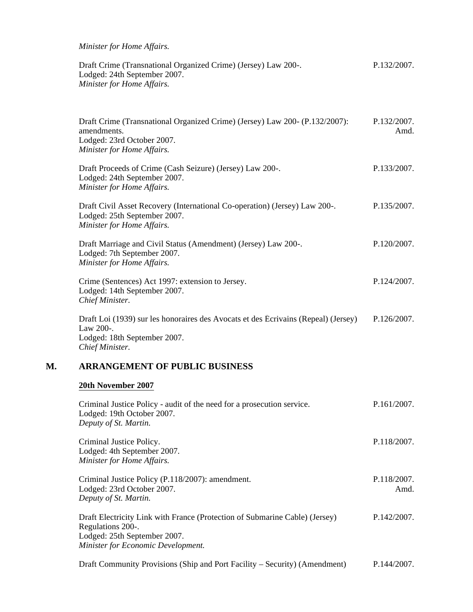*Minister for Home Affairs.*

| Draft Crime (Transnational Organized Crime) (Jersey) Law 200-. | P.132/2007. |
|----------------------------------------------------------------|-------------|
| Lodged: 24th September 2007.                                   |             |
| Minister for Home Affairs.                                     |             |

| Draft Crime (Transnational Organized Crime) (Jersey) Law 200- (P.132/2007):<br>amendments.<br>Lodged: 23rd October 2007.<br>Minister for Home Affairs. | P.132/2007.<br>Amd. |
|--------------------------------------------------------------------------------------------------------------------------------------------------------|---------------------|
| Draft Proceeds of Crime (Cash Seizure) (Jersey) Law 200-.<br>Lodged: 24th September 2007.<br>Minister for Home Affairs.                                | P.133/2007.         |
| Draft Civil Asset Recovery (International Co-operation) (Jersey) Law 200-.<br>Lodged: 25th September 2007.<br>Minister for Home Affairs.               | P.135/2007.         |
| Draft Marriage and Civil Status (Amendment) (Jersey) Law 200-.<br>Lodged: 7th September 2007.<br>Minister for Home Affairs.                            | P.120/2007.         |
| Crime (Sentences) Act 1997: extension to Jersey.<br>Lodged: 14th September 2007.<br>Chief Minister.                                                    | P.124/2007.         |
| Draft Loi (1939) sur les honoraires des Avocats et des Écrivains (Repeal) (Jersey)<br>Law 200-.<br>Lodged: 18th September 2007.<br>Chief Minister.     | P.126/2007.         |

## **M. ARRANGEMENT OF PUBLIC BUSINESS**

## **20th November 2007**

| Criminal Justice Policy - audit of the need for a prosecution service.<br>Lodged: 19th October 2007.<br>Deputy of St. Martin.                                          | P.161/2007.         |
|------------------------------------------------------------------------------------------------------------------------------------------------------------------------|---------------------|
| Criminal Justice Policy.<br>Lodged: 4th September 2007.<br>Minister for Home Affairs.                                                                                  | P.118/2007.         |
| Criminal Justice Policy (P.118/2007): amendment.<br>Lodged: 23rd October 2007.<br>Deputy of St. Martin.                                                                | P.118/2007.<br>Amd. |
| Draft Electricity Link with France (Protection of Submarine Cable) (Jersey)<br>Regulations 200-.<br>Lodged: 25th September 2007.<br>Minister for Economic Development. | P.142/2007.         |

Draft Community Provisions (Ship and Port Facility – Security) (Amendment) P.144/2007.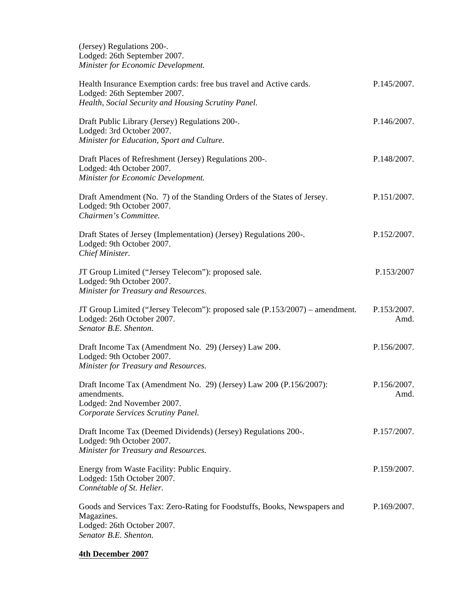(Jersey) Regulations 200-. Lodged: 26th September 2007. *Minister for Economic Development.*

| Health Insurance Exemption cards: free bus travel and Active cards.<br>Lodged: 26th September 2007.<br>Health, Social Security and Housing Scrutiny Panel. | P.145/2007.         |
|------------------------------------------------------------------------------------------------------------------------------------------------------------|---------------------|
| Draft Public Library (Jersey) Regulations 200-.<br>Lodged: 3rd October 2007.<br>Minister for Education, Sport and Culture.                                 | P.146/2007.         |
| Draft Places of Refreshment (Jersey) Regulations 200-.<br>Lodged: 4th October 2007.<br>Minister for Economic Development.                                  | P.148/2007.         |
| Draft Amendment (No. 7) of the Standing Orders of the States of Jersey.<br>Lodged: 9th October 2007.<br>Chairmen's Committee.                              | P.151/2007.         |
| Draft States of Jersey (Implementation) (Jersey) Regulations 200-.<br>Lodged: 9th October 2007.<br>Chief Minister.                                         | P.152/2007.         |
| JT Group Limited ("Jersey Telecom"): proposed sale.<br>Lodged: 9th October 2007.<br>Minister for Treasury and Resources.                                   | P.153/2007          |
| JT Group Limited ("Jersey Telecom"): proposed sale (P.153/2007) – amendment.<br>Lodged: 26th October 2007.<br>Senator B.E. Shenton.                        | P.153/2007.<br>Amd. |
| Draft Income Tax (Amendment No. 29) (Jersey) Law 200.<br>Lodged: 9th October 2007.<br>Minister for Treasury and Resources.                                 | P.156/2007.         |
| Draft Income Tax (Amendment No. 29) (Jersey) Law 200 (P.156/2007):<br>amendments.<br>Lodged: 2nd November 2007.<br>Corporate Services Scrutiny Panel.      | P.156/2007.<br>Amd. |
| Draft Income Tax (Deemed Dividends) (Jersey) Regulations 200-.<br>Lodged: 9th October 2007.<br>Minister for Treasury and Resources.                        | P.157/2007.         |
| Energy from Waste Facility: Public Enquiry.<br>Lodged: 15th October 2007.<br>Connétable of St. Helier.                                                     | P.159/2007.         |
| Goods and Services Tax: Zero-Rating for Foodstuffs, Books, Newspapers and<br>Magazines.<br>Lodged: 26th October 2007.<br>Senator B.E. Shenton.             | P.169/2007.         |

# **4th December 2007**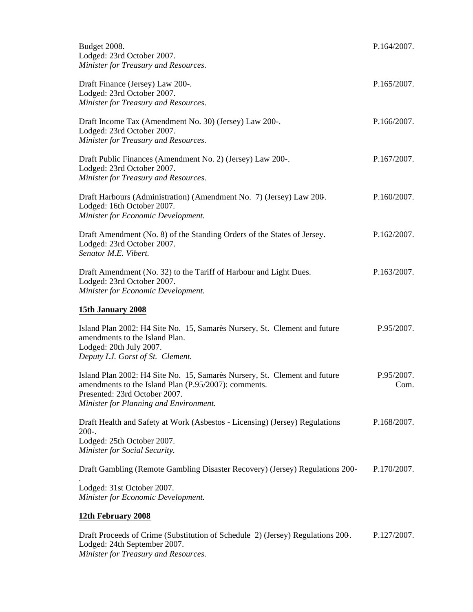| Budget 2008.<br>Lodged: 23rd October 2007.<br>Minister for Treasury and Resources.                                                                                                                           | P.164/2007.        |
|--------------------------------------------------------------------------------------------------------------------------------------------------------------------------------------------------------------|--------------------|
| Draft Finance (Jersey) Law 200-.<br>Lodged: 23rd October 2007.<br>Minister for Treasury and Resources.                                                                                                       | P.165/2007.        |
| Draft Income Tax (Amendment No. 30) (Jersey) Law 200-.<br>Lodged: 23rd October 2007.<br>Minister for Treasury and Resources.                                                                                 | P.166/2007.        |
| Draft Public Finances (Amendment No. 2) (Jersey) Law 200-.<br>Lodged: 23rd October 2007.<br>Minister for Treasury and Resources.                                                                             | P.167/2007.        |
| Draft Harbours (Administration) (Amendment No. 7) (Jersey) Law 200.<br>Lodged: 16th October 2007.<br>Minister for Economic Development.                                                                      | P.160/2007.        |
| Draft Amendment (No. 8) of the Standing Orders of the States of Jersey.<br>Lodged: 23rd October 2007.<br>Senator M.E. Vibert.                                                                                | P.162/2007.        |
| Draft Amendment (No. 32) to the Tariff of Harbour and Light Dues.<br>Lodged: 23rd October 2007.<br>Minister for Economic Development.                                                                        | P.163/2007.        |
| 15th January 2008                                                                                                                                                                                            |                    |
| Island Plan 2002: H4 Site No. 15, Samarès Nursery, St. Clement and future<br>amendments to the Island Plan.<br>Lodged: 20th July 2007.<br>Deputy I.J. Gorst of St. Clement.                                  | P.95/2007.         |
| Island Plan 2002: H4 Site No. 15, Samarès Nursery, St. Clement and future<br>amendments to the Island Plan (P.95/2007): comments.<br>Presented: 23rd October 2007.<br>Minister for Planning and Environment. | P.95/2007.<br>Com. |
| Draft Health and Safety at Work (Asbestos - Licensing) (Jersey) Regulations<br>$200-.$<br>Lodged: 25th October 2007.<br>Minister for Social Security.                                                        | P.168/2007.        |
| Draft Gambling (Remote Gambling Disaster Recovery) (Jersey) Regulations 200-                                                                                                                                 | P.170/2007.        |
| Lodged: 31st October 2007.<br>Minister for Economic Development.                                                                                                                                             |                    |
| 12th February 2008                                                                                                                                                                                           |                    |
| Draft Proceeds of Crime (Substitution of Schedule 2) (Jersey) Regulations 200.<br>Lodged: 24th September 2007.                                                                                               | P.127/2007.        |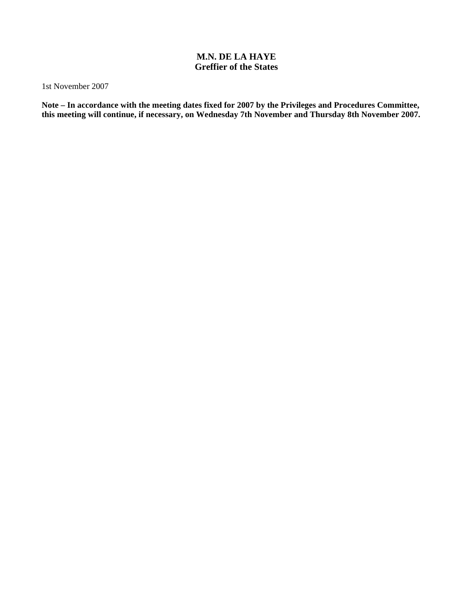## **M.N. DE LA HAYE Greffier of the States**

1st November 2007

**Note – In accordance with the meeting dates fixed for 2007 by the Privileges and Procedures Committee, this meeting will continue, if necessary, on Wednesday 7th November and Thursday 8th November 2007.**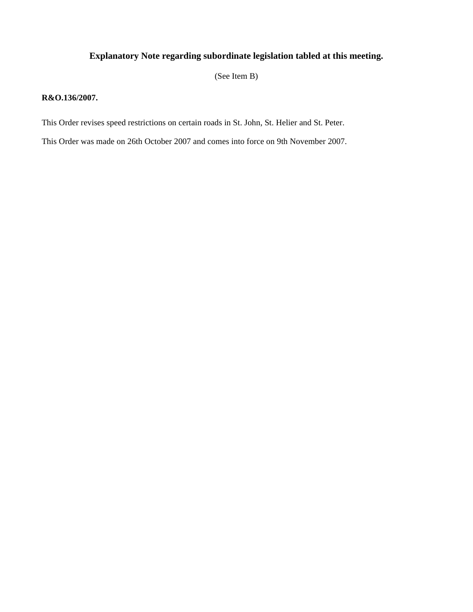## **Explanatory Note regarding subordinate legislation tabled at this meeting.**

(See Item B)

#### **R&O.136/2007.**

This Order revises speed restrictions on certain roads in St. John, St. Helier and St. Peter.

This Order was made on 26th October 2007 and comes into force on 9th November 2007.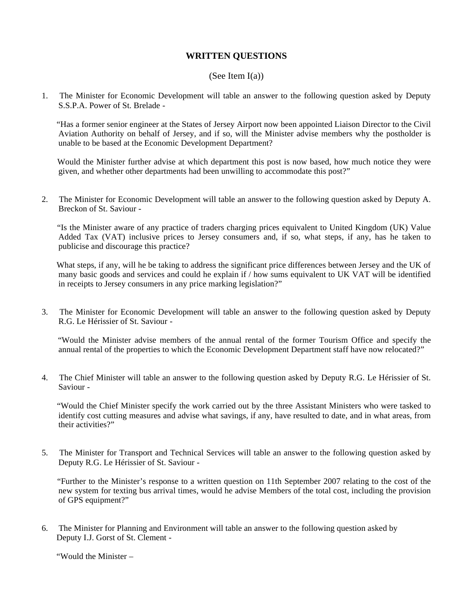## **WRITTEN QUESTIONS**

#### (See Item  $I(a)$ )

1. The Minister for Economic Development will table an answer to the following question asked by Deputy S.S.P.A. Power of St. Brelade -

 "Has a former senior engineer at the States of Jersey Airport now been appointed Liaison Director to the Civil Aviation Authority on behalf of Jersey, and if so, will the Minister advise members why the postholder is unable to be based at the Economic Development Department?

 Would the Minister further advise at which department this post is now based, how much notice they were given, and whether other departments had been unwilling to accommodate this post?"

2. The Minister for Economic Development will table an answer to the following question asked by Deputy A. Breckon of St. Saviour -

 "Is the Minister aware of any practice of traders charging prices equivalent to United Kingdom (UK) Value Added Tax (VAT) inclusive prices to Jersey consumers and, if so, what steps, if any, has he taken to publicise and discourage this practice?

What steps, if any, will he be taking to address the significant price differences between Jersey and the UK of many basic goods and services and could he explain if / how sums equivalent to UK VAT will be identified in receipts to Jersey consumers in any price marking legislation?"

3. The Minister for Economic Development will table an answer to the following question asked by Deputy R.G. Le Hérissier of St. Saviour -

 "Would the Minister advise members of the annual rental of the former Tourism Office and specify the annual rental of the properties to which the Economic Development Department staff have now relocated?"

4. The Chief Minister will table an answer to the following question asked by Deputy R.G. Le Hérissier of St. Saviour -

 "Would the Chief Minister specify the work carried out by the three Assistant Ministers who were tasked to identify cost cutting measures and advise what savings, if any, have resulted to date, and in what areas, from their activities?"

5. The Minister for Transport and Technical Services will table an answer to the following question asked by Deputy R.G. Le Hérissier of St. Saviour -

 "Further to the Minister's response to a written question on 11th September 2007 relating to the cost of the new system for texting bus arrival times, would he advise Members of the total cost, including the provision of GPS equipment?"

6. The Minister for Planning and Environment will table an answer to the following question asked by Deputy I.J. Gorst of St. Clement -

"Would the Minister –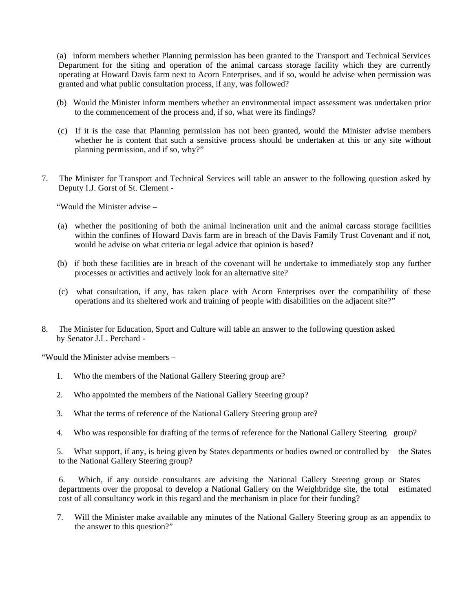(a) inform members whether Planning permission has been granted to the Transport and Technical Services Department for the siting and operation of the animal carcass storage facility which they are currently operating at Howard Davis farm next to Acorn Enterprises, and if so, would he advise when permission was granted and what public consultation process, if any, was followed?

- (b) Would the Minister inform members whether an environmental impact assessment was undertaken prior to the commencement of the process and, if so, what were its findings?
- (c) If it is the case that Planning permission has not been granted, would the Minister advise members whether he is content that such a sensitive process should be undertaken at this or any site without planning permission, and if so, why?"
- 7. The Minister for Transport and Technical Services will table an answer to the following question asked by Deputy I.J. Gorst of St. Clement -

"Would the Minister advise –

- (a) whether the positioning of both the animal incineration unit and the animal carcass storage facilities within the confines of Howard Davis farm are in breach of the Davis Family Trust Covenant and if not, would he advise on what criteria or legal advice that opinion is based?
- (b) if both these facilities are in breach of the covenant will he undertake to immediately stop any further processes or activities and actively look for an alternative site?
- (c) what consultation, if any, has taken place with Acorn Enterprises over the compatibility of these operations and its sheltered work and training of people with disabilities on the adjacent site?"
- 8. The Minister for Education, Sport and Culture will table an answer to the following question asked by Senator J.L. Perchard -

"Would the Minister advise members –

- 1. Who the members of the National Gallery Steering group are?
- 2. Who appointed the members of the National Gallery Steering group?
- 3. What the terms of reference of the National Gallery Steering group are?
- 4. Who was responsible for drafting of the terms of reference for the National Gallery Steering group?

 5. What support, if any, is being given by States departments or bodies owned or controlled by the States to the National Gallery Steering group?

 6. Which, if any outside consultants are advising the National Gallery Steering group or States departments over the proposal to develop a National Gallery on the Weighbridge site, the total estimated cost of all consultancy work in this regard and the mechanism in place for their funding?

 7. Will the Minister make available any minutes of the National Gallery Steering group as an appendix to the answer to this question?"